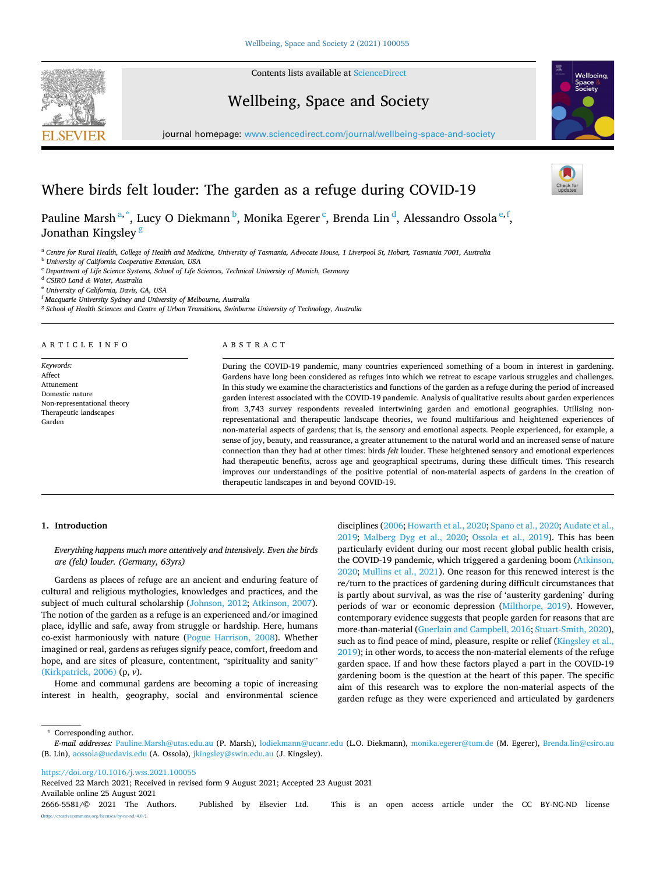

Contents lists available at [ScienceDirect](www.sciencedirect.com/science/journal/26665581)

Wellbeing, Space and Society



journal homepage: [www.sciencedirect.com/journal/wellbeing-space-and-society](https://www.sciencedirect.com/journal/wellbeing-space-and-society) 

# Where birds felt louder: The garden as a refuge during COVID-19

Pauline Marsh $^{a,\ast},$  Lucy O Diekmann $^b$ , Monika Egerer  $^c$ , Brenda Lin $^d$ , Alessandro Ossola $^{\mathrm{e,f}}$ , Jonathan Kingsley<sup>8</sup>

<sup>a</sup> Centre for Rural Health, College of Health and Medicine, University of Tasmania, Advocate House, 1 Liverpool St, Hobart, Tasmania 7001, Australia

<sup>b</sup> *University of California Cooperative Extension, USA* 

<sup>c</sup> *Department of Life Science Systems, School of Life Sciences, Technical University of Munich, Germany* 

<sup>d</sup> *CSIRO Land & Water, Australia* 

<sup>e</sup> *University of California, Davis, CA, USA* 

<sup>f</sup> *Macquarie University Sydney and University of Melbourne, Australia* 

<sup>g</sup> *School of Health Sciences and Centre of Urban Transitions, Swinburne University of Technology, Australia* 

ARTICLE INFO

*Keywords:*  Affect Attunement Domestic nature Non-representational theory Therapeutic landscapes Garden

#### ABSTRACT

During the COVID-19 pandemic, many countries experienced something of a boom in interest in gardening. Gardens have long been considered as refuges into which we retreat to escape various struggles and challenges. In this study we examine the characteristics and functions of the garden as a refuge during the period of increased garden interest associated with the COVID-19 pandemic. Analysis of qualitative results about garden experiences from 3,743 survey respondents revealed intertwining garden and emotional geographies. Utilising nonrepresentational and therapeutic landscape theories, we found multifarious and heightened experiences of non-material aspects of gardens; that is, the sensory and emotional aspects. People experienced, for example, a sense of joy, beauty, and reassurance, a greater attunement to the natural world and an increased sense of nature connection than they had at other times: birds *felt* louder. These heightened sensory and emotional experiences had therapeutic benefits, across age and geographical spectrums, during these difficult times. This research improves our understandings of the positive potential of non-material aspects of gardens in the creation of therapeutic landscapes in and beyond COVID-19.

## **1. Introduction**

*Everything happens much more attentively and intensively. Even the birds are (felt) louder. (Germany, 63yrs)* 

Gardens as places of refuge are an ancient and enduring feature of cultural and religious mythologies, knowledges and practices, and the subject of much cultural scholarship [\(Johnson, 2012;](#page-6-0) [Atkinson, 2007](#page-5-0)). The notion of the garden as a refuge is an experienced and/or imagined place, idyllic and safe, away from struggle or hardship. Here, humans co-exist harmoniously with nature ([Pogue Harrison, 2008\)](#page-6-0). Whether imagined or real, gardens as refuges signify peace, comfort, freedom and hope, and are sites of pleasure, contentment, "spirituality and sanity" [\(Kirkpatrick, 2006\)](#page-6-0) (p, *v*).

Home and communal gardens are becoming a topic of increasing interest in health, geography, social and environmental science

disciplines [\(2006](#page-5-0); [Howarth et al., 2020; Spano et al., 2020;](#page-6-0) [Audate et al.,](#page-5-0)  [2019;](#page-5-0) [Malberg Dyg et al., 2020](#page-6-0); [Ossola et al., 2019](#page-6-0)). This has been particularly evident during our most recent global public health crisis, the COVID-19 pandemic, which triggered a gardening boom [\(Atkinson,](#page-5-0)  [2020;](#page-5-0) [Mullins et al., 2021\)](#page-6-0). One reason for this renewed interest is the re/turn to the practices of gardening during difficult circumstances that is partly about survival, as was the rise of 'austerity gardening' during periods of war or economic depression [\(Milthorpe, 2019\)](#page-6-0). However, contemporary evidence suggests that people garden for reasons that are more-than-material ([Guerlain and Campbell, 2016](#page-6-0); [Stuart-Smith, 2020](#page-6-0)), such as to find peace of mind, pleasure, respite or relief (Kingsley et al., [2019\)](#page-6-0); in other words, to access the non-material elements of the refuge garden space. If and how these factors played a part in the COVID-19 gardening boom is the question at the heart of this paper. The specific aim of this research was to explore the non-material aspects of the garden refuge as they were experienced and articulated by gardeners

\* Corresponding author.

<https://doi.org/10.1016/j.wss.2021.100055>

Available online 25 August 2021 Received 22 March 2021; Received in revised form 9 August 2021; Accepted 23 August 2021

2666-5581/© 2021 The Authors. Published by Elsevier Ltd. This is an open access article under the CC BY-NC-ND license [\(http://creativecommons.org/licenses/by-nc-nd/4.0/\)](http://creativecommons.org/licenses/by-nc-nd/4.0/).

*E-mail addresses:* [Pauline.Marsh@utas.edu.au](mailto:Pauline.Marsh@utas.edu.au) (P. Marsh), [lodiekmann@ucanr.edu](mailto:lodiekmann@ucanr.edu) (L.O. Diekmann), [monika.egerer@tum.de](mailto:monika.egerer@tum.de) (M. Egerer), [Brenda.lin@csiro.au](mailto:Brenda.lin@csiro.au)  (B. Lin), [aossola@ucdavis.edu](mailto:aossola@ucdavis.edu) (A. Ossola), [jkingsley@swin.edu.au](mailto:jkingsley@swin.edu.au) (J. Kingsley).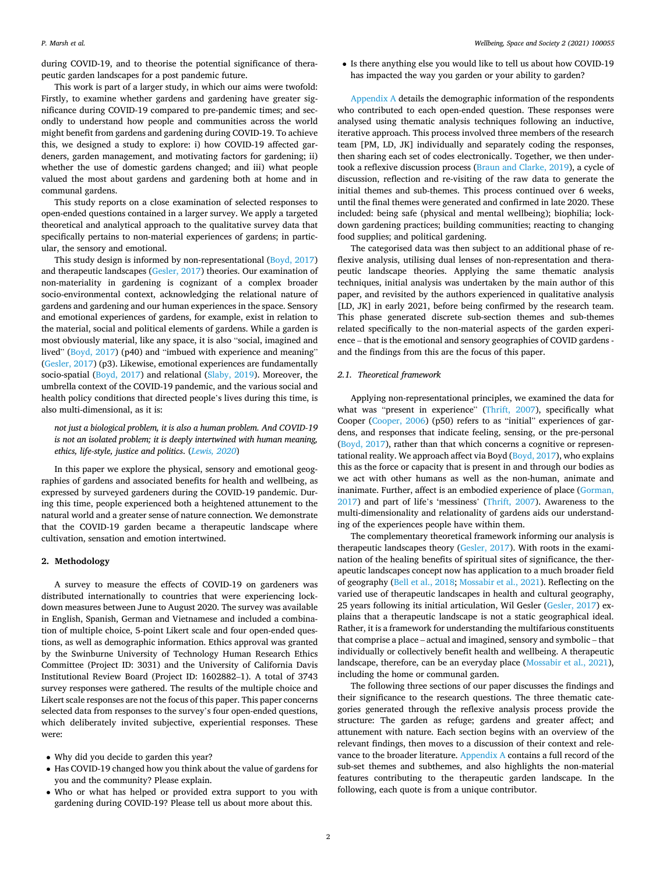during COVID-19, and to theorise the potential significance of therapeutic garden landscapes for a post pandemic future.

This work is part of a larger study, in which our aims were twofold: Firstly, to examine whether gardens and gardening have greater significance during COVID-19 compared to pre-pandemic times; and secondly to understand how people and communities across the world might benefit from gardens and gardening during COVID-19. To achieve this, we designed a study to explore: i) how COVID-19 affected gardeners, garden management, and motivating factors for gardening; ii) whether the use of domestic gardens changed; and iii) what people valued the most about gardens and gardening both at home and in communal gardens.

This study reports on a close examination of selected responses to open-ended questions contained in a larger survey. We apply a targeted theoretical and analytical approach to the qualitative survey data that specifically pertains to non-material experiences of gardens; in particular, the sensory and emotional.

This study design is informed by non-representational [\(Boyd, 2017\)](#page-5-0) and therapeutic landscapes [\(Gesler, 2017](#page-6-0)) theories. Our examination of non-materiality in gardening is cognizant of a complex broader socio-environmental context, acknowledging the relational nature of gardens and gardening and our human experiences in the space. Sensory and emotional experiences of gardens, for example, exist in relation to the material, social and political elements of gardens. While a garden is most obviously material, like any space, it is also "social, imagined and lived" [\(Boyd, 2017\)](#page-5-0) (p40) and "imbued with experience and meaning" ([Gesler, 2017\)](#page-6-0) (p3). Likewise, emotional experiences are fundamentally socio-spatial [\(Boyd, 2017\)](#page-5-0) and relational ([Slaby, 2019\)](#page-6-0). Moreover, the umbrella context of the COVID-19 pandemic, and the various social and health policy conditions that directed people's lives during this time, is also multi-dimensional, as it is:

*not just a biological problem, it is also a human problem. And COVID-19 is not an isolated problem; it is deeply intertwined with human meaning, ethics, life-style, justice and politics*. (*[Lewis, 2020](#page-6-0)*)

In this paper we explore the physical, sensory and emotional geographies of gardens and associated benefits for health and wellbeing, as expressed by surveyed gardeners during the COVID-19 pandemic. During this time, people experienced both a heightened attunement to the natural world and a greater sense of nature connection*.* We demonstrate that the COVID-19 garden became a therapeutic landscape where cultivation, sensation and emotion intertwined.

## **2. Methodology**

A survey to measure the effects of COVID-19 on gardeners was distributed internationally to countries that were experiencing lockdown measures between June to August 2020. The survey was available in English, Spanish, German and Vietnamese and included a combination of multiple choice, 5-point Likert scale and four open-ended questions, as well as demographic information. Ethics approval was granted by the Swinburne University of Technology Human Research Ethics Committee (Project ID: 3031) and the University of California Davis Institutional Review Board (Project ID: 1602882–1). A total of 3743 survey responses were gathered. The results of the multiple choice and Likert scale responses are not the focus of this paper. This paper concerns selected data from responses to the survey's four open-ended questions, which deliberately invited subjective, experiential responses. These were:

- Why did you decide to garden this year?
- Has COVID-19 changed how you think about the value of gardens for you and the community? Please explain.
- Who or what has helped or provided extra support to you with gardening during COVID-19? Please tell us about more about this.

• Is there anything else you would like to tell us about how COVID-19 has impacted the way you garden or your ability to garden?

[Appendix A](#page-4-0) details the demographic information of the respondents who contributed to each open-ended question. These responses were analysed using thematic analysis techniques following an inductive, iterative approach. This process involved three members of the research team [PM, LD, JK] individually and separately coding the responses, then sharing each set of codes electronically. Together, we then undertook a reflexive discussion process ([Braun and Clarke, 2019\)](#page-5-0), a cycle of discussion, reflection and re-visiting of the raw data to generate the initial themes and sub-themes. This process continued over 6 weeks, until the final themes were generated and confirmed in late 2020. These included: being safe (physical and mental wellbeing); biophilia; lockdown gardening practices; building communities; reacting to changing food supplies; and political gardening.

The categorised data was then subject to an additional phase of reflexive analysis, utilising dual lenses of non-representation and therapeutic landscape theories. Applying the same thematic analysis techniques, initial analysis was undertaken by the main author of this paper, and revisited by the authors experienced in qualitative analysis [LD, JK] in early 2021, before being confirmed by the research team. This phase generated discrete sub-section themes and sub-themes related specifically to the non-material aspects of the garden experience – that is the emotional and sensory geographies of COVID gardens and the findings from this are the focus of this paper.

#### *2.1. Theoretical framework*

Applying non-representational principles, we examined the data for what was "present in experience" [\(Thrift, 2007](#page-6-0)), specifically what Cooper ([Cooper, 2006](#page-5-0)) (p50) refers to as "initial" experiences of gardens, and responses that indicate feeling, sensing, or the pre-personal ([Boyd, 2017](#page-5-0)), rather than that which concerns a cognitive or representational reality. We approach affect via Boyd  $(Boyd, 2017)$  $(Boyd, 2017)$ , who explains this as the force or capacity that is present in and through our bodies as we act with other humans as well as the non-human, animate and inanimate. Further, affect is an embodied experience of place [\(Gorman,](#page-6-0)  [2017\)](#page-6-0) and part of life's 'messiness' [\(Thrift, 2007](#page-6-0)). Awareness to the multi-dimensionality and relationality of gardens aids our understanding of the experiences people have within them.

The complementary theoretical framework informing our analysis is therapeutic landscapes theory [\(Gesler, 2017\)](#page-6-0). With roots in the examination of the healing benefits of spiritual sites of significance, the therapeutic landscapes concept now has application to a much broader field of geography ([Bell et al., 2018;](#page-5-0) [Mossabir et al., 2021\)](#page-6-0). Reflecting on the varied use of therapeutic landscapes in health and cultural geography, 25 years following its initial articulation, Wil Gesler ([Gesler, 2017\)](#page-6-0) explains that a therapeutic landscape is not a static geographical ideal. Rather, it is a framework for understanding the multifarious constituents that comprise a place – actual and imagined, sensory and symbolic – that individually or collectively benefit health and wellbeing. A therapeutic landscape, therefore, can be an everyday place ([Mossabir et al., 2021](#page-6-0)), including the home or communal garden.

The following three sections of our paper discusses the findings and their significance to the research questions. The three thematic categories generated through the reflexive analysis process provide the structure: The garden as refuge; gardens and greater affect; and attunement with nature. Each section begins with an overview of the relevant findings, then moves to a discussion of their context and relevance to the broader literature. [Appendix A](#page-4-0) contains a full record of the sub-set themes and subthemes, and also highlights the non-material features contributing to the therapeutic garden landscape. In the following, each quote is from a unique contributor.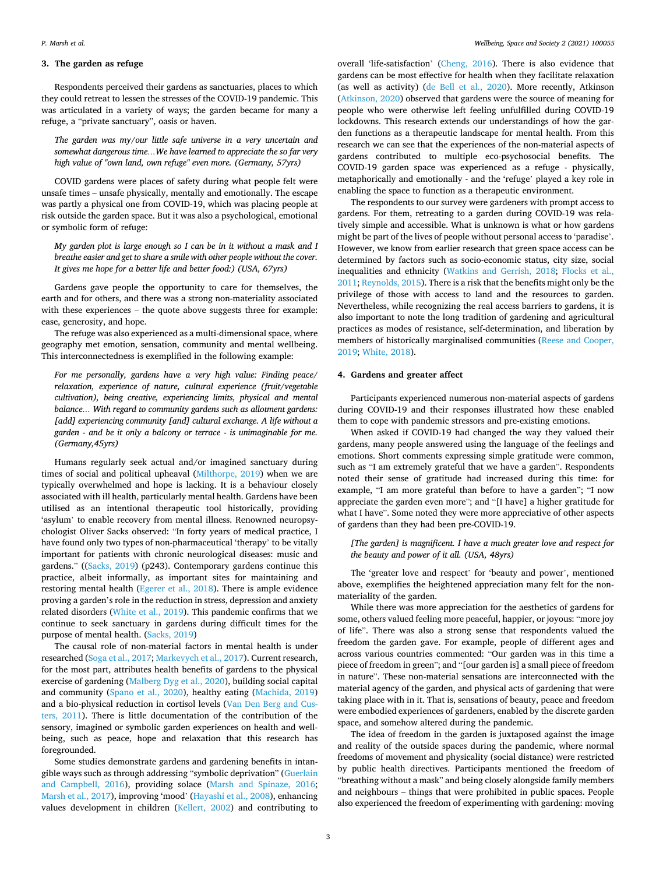#### **3. The garden as refuge**

Respondents perceived their gardens as sanctuaries, places to which they could retreat to lessen the stresses of the COVID-19 pandemic. This was articulated in a variety of ways; the garden became for many a refuge, a "private sanctuary", oasis or haven.

*The garden was my/our little safe universe in a very uncertain and somewhat dangerous time…We have learned to appreciate the so far very high value of "own land, own refuge" even more. (Germany, 57yrs)* 

COVID gardens were places of safety during what people felt were unsafe times – unsafe physically, mentally and emotionally. The escape was partly a physical one from COVID-19, which was placing people at risk outside the garden space. But it was also a psychological, emotional or symbolic form of refuge:

*My garden plot is large enough so I can be in it without a mask and I breathe easier and get to share a smile with other people without the cover. It gives me hope for a better life and better food:) (USA, 67yrs)* 

Gardens gave people the opportunity to care for themselves, the earth and for others, and there was a strong non-materiality associated with these experiences – the quote above suggests three for example: ease, generosity, and hope.

The refuge was also experienced as a multi-dimensional space, where geography met emotion, sensation, community and mental wellbeing. This interconnectedness is exemplified in the following example:

*For me personally, gardens have a very high value: Finding peace/ relaxation, experience of nature, cultural experience (fruit/vegetable cultivation), being creative, experiencing limits, physical and mental balance… With regard to community gardens such as allotment gardens: [add] experiencing community [and] cultural exchange. A life without a garden - and be it only a balcony or terrace - is unimaginable for me. (Germany,45yrs)* 

Humans regularly seek actual and/or imagined sanctuary during times of social and political upheaval [\(Milthorpe, 2019](#page-6-0)) when we are typically overwhelmed and hope is lacking. It is a behaviour closely associated with ill health, particularly mental health. Gardens have been utilised as an intentional therapeutic tool historically, providing 'asylum' to enable recovery from mental illness. Renowned neuropsychologist Oliver Sacks observed: "In forty years of medical practice, I have found only two types of non-pharmaceutical 'therapy' to be vitally important for patients with chronic neurological diseases: music and gardens." (([Sacks, 2019\)](#page-6-0) (p243). Contemporary gardens continue this practice, albeit informally, as important sites for maintaining and restoring mental health ([Egerer et al., 2018\)](#page-6-0). There is ample evidence proving a garden's role in the reduction in stress, depression and anxiety related disorders ([White et al., 2019\)](#page-6-0). This pandemic confirms that we continue to seek sanctuary in gardens during difficult times for the purpose of mental health. ([Sacks, 2019\)](#page-6-0)

The causal role of non-material factors in mental health is under researched [\(Soga et al., 2017; Markevych et al., 2017](#page-6-0)). Current research, for the most part, attributes health benefits of gardens to the physical exercise of gardening [\(Malberg Dyg et al., 2020](#page-6-0)), building social capital and community ([Spano et al., 2020](#page-6-0)), healthy eating [\(Machida, 2019\)](#page-6-0) and a bio-physical reduction in cortisol levels ([Van Den Berg and Cus](#page-6-0)[ters, 2011](#page-6-0)). There is little documentation of the contribution of the sensory, imagined or symbolic garden experiences on health and wellbeing, such as peace, hope and relaxation that this research has foregrounded.

Some studies demonstrate gardens and gardening benefits in intangible ways such as through addressing "symbolic deprivation" [\(Guerlain](#page-6-0)  [and Campbell, 2016](#page-6-0)), providing solace ([Marsh and Spinaze, 2016](#page-6-0); [Marsh et al., 2017\)](#page-6-0), improving 'mood' ([Hayashi et al., 2008](#page-6-0)), enhancing values development in children [\(Kellert, 2002](#page-6-0)) and contributing to

overall 'life-satisfaction' ([Cheng, 2016\)](#page-5-0). There is also evidence that gardens can be most effective for health when they facilitate relaxation (as well as activity) [\(de Bell et al., 2020](#page-6-0)). More recently, Atkinson ([Atkinson, 2020](#page-5-0)) observed that gardens were the source of meaning for people who were otherwise left feeling unfulfilled during COVID-19 lockdowns. This research extends our understandings of how the garden functions as a therapeutic landscape for mental health. From this research we can see that the experiences of the non-material aspects of gardens contributed to multiple eco-psychosocial benefits. The COVID-19 garden space was experienced as a refuge - physically, metaphorically and emotionally - and the 'refuge' played a key role in enabling the space to function as a therapeutic environment.

The respondents to our survey were gardeners with prompt access to gardens. For them, retreating to a garden during COVID-19 was relatively simple and accessible. What is unknown is what or how gardens might be part of the lives of people without personal access to 'paradise'. However, we know from earlier research that green space access can be determined by factors such as socio-economic status, city size, social inequalities and ethnicity ([Watkins and Gerrish, 2018;](#page-6-0) [Flocks et al.,](#page-6-0)  [2011; Reynolds, 2015\)](#page-6-0). There is a risk that the benefits might only be the privilege of those with access to land and the resources to garden. Nevertheless, while recognizing the real access barriers to gardens, it is also important to note the long tradition of gardening and agricultural practices as modes of resistance, self-determination, and liberation by members of historically marginalised communities ([Reese and Cooper,](#page-6-0)  [2019; White, 2018\)](#page-6-0).

#### **4. Gardens and greater affect**

Participants experienced numerous non-material aspects of gardens during COVID-19 and their responses illustrated how these enabled them to cope with pandemic stressors and pre-existing emotions.

When asked if COVID-19 had changed the way they valued their gardens, many people answered using the language of the feelings and emotions. Short comments expressing simple gratitude were common, such as "I am extremely grateful that we have a garden". Respondents noted their sense of gratitude had increased during this time: for example, "I am more grateful than before to have a garden"; "I now appreciate the garden even more"; and "[I have] a higher gratitude for what I have". Some noted they were more appreciative of other aspects of gardens than they had been pre-COVID-19.

## *[The garden] is magnificent. I have a much greater love and respect for the beauty and power of it all. (USA, 48yrs)*

The 'greater love and respect' for 'beauty and power', mentioned above, exemplifies the heightened appreciation many felt for the nonmateriality of the garden.

While there was more appreciation for the aesthetics of gardens for some, others valued feeling more peaceful, happier, or joyous: "more joy of life". There was also a strong sense that respondents valued the freedom the garden gave. For example, people of different ages and across various countries commented: "Our garden was in this time a piece of freedom in green"; and "[our garden is] a small piece of freedom in nature". These non-material sensations are interconnected with the material agency of the garden, and physical acts of gardening that were taking place with in it. That is, sensations of beauty, peace and freedom were embodied experiences of gardeners, enabled by the discrete garden space, and somehow altered during the pandemic.

The idea of freedom in the garden is juxtaposed against the image and reality of the outside spaces during the pandemic, where normal freedoms of movement and physicality (social distance) were restricted by public health directives. Participants mentioned the freedom of "breathing without a mask" and being closely alongside family members and neighbours – things that were prohibited in public spaces. People also experienced the freedom of experimenting with gardening: moving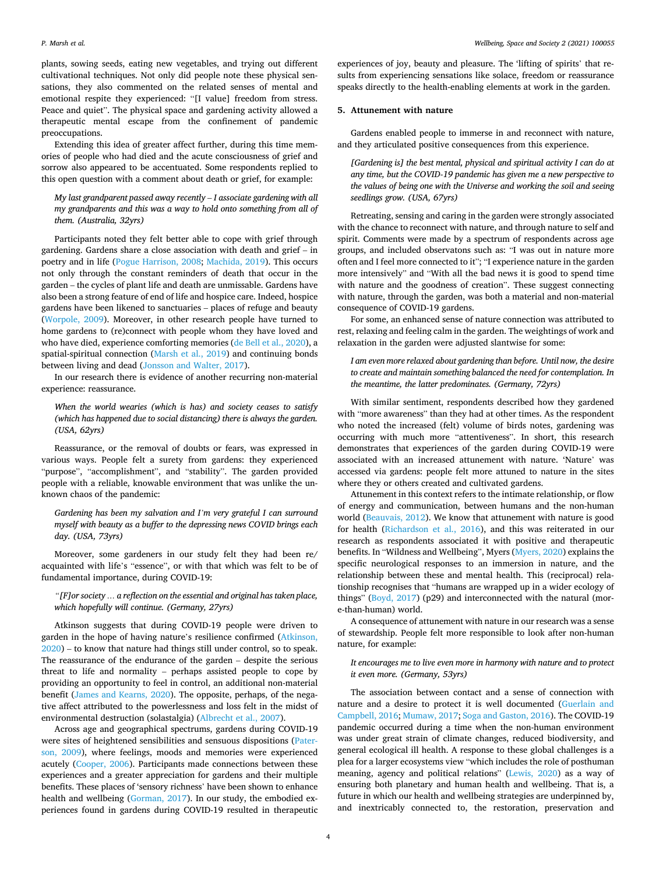plants, sowing seeds, eating new vegetables, and trying out different cultivational techniques. Not only did people note these physical sensations, they also commented on the related senses of mental and emotional respite they experienced: "[I value] freedom from stress. Peace and quiet". The physical space and gardening activity allowed a therapeutic mental escape from the confinement of pandemic preoccupations.

Extending this idea of greater affect further, during this time memories of people who had died and the acute consciousness of grief and sorrow also appeared to be accentuated. Some respondents replied to this open question with a comment about death or grief, for example:

*My last grandparent passed away recently* – *I associate gardening with all my grandparents and this was a way to hold onto something from all of them. (Australia, 32yrs)* 

Participants noted they felt better able to cope with grief through gardening. Gardens share a close association with death and grief – in poetry and in life [\(Pogue Harrison, 2008;](#page-6-0) [Machida, 2019\)](#page-6-0). This occurs not only through the constant reminders of death that occur in the garden – the cycles of plant life and death are unmissable. Gardens have also been a strong feature of end of life and hospice care. Indeed, hospice gardens have been likened to sanctuaries – places of refuge and beauty ([Worpole, 2009](#page-6-0)). Moreover, in other research people have turned to home gardens to (re)connect with people whom they have loved and who have died, experience comforting memories ([de Bell et al., 2020](#page-6-0)), a spatial-spiritual connection ([Marsh et al., 2019\)](#page-6-0) and continuing bonds between living and dead ([Jonsson and Walter, 2017\)](#page-6-0).

In our research there is evidence of another recurring non-material experience: reassurance.

*When the world wearies (which is has) and society ceases to satisfy (which has happened due to social distancing) there is always the garden. (USA, 62yrs)* 

Reassurance, or the removal of doubts or fears, was expressed in various ways. People felt a surety from gardens: they experienced "purpose", "accomplishment", and "stability". The garden provided people with a reliable, knowable environment that was unlike the unknown chaos of the pandemic:

*Gardening has been my salvation and I'm very grateful I can surround myself with beauty as a buffer to the depressing news COVID brings each day. (USA, 73yrs)* 

Moreover, some gardeners in our study felt they had been re/ acquainted with life's "essence", or with that which was felt to be of fundamental importance, during COVID-19:

*"[F]or society … a reflection on the essential and original has taken place, which hopefully will continue. (Germany, 27yrs)* 

Atkinson suggests that during COVID-19 people were driven to garden in the hope of having nature's resilience confirmed [\(Atkinson,](#page-5-0)  [2020\)](#page-5-0) – to know that nature had things still under control, so to speak. The reassurance of the endurance of the garden – despite the serious threat to life and normality – perhaps assisted people to cope by providing an opportunity to feel in control, an additional non-material benefit ([James and Kearns, 2020\)](#page-6-0). The opposite, perhaps, of the negative affect attributed to the powerlessness and loss felt in the midst of environmental destruction (solastalgia) ([Albrecht et al., 2007](#page-5-0)).

Across age and geographical spectrums, gardens during COVID-19 were sites of heightened sensibilities and sensuous dispositions ([Pater](#page-6-0)[son, 2009\)](#page-6-0), where feelings, moods and memories were experienced acutely [\(Cooper, 2006](#page-5-0)). Participants made connections between these experiences and a greater appreciation for gardens and their multiple benefits. These places of 'sensory richness' have been shown to enhance health and wellbeing ([Gorman, 2017\)](#page-6-0). In our study, the embodied experiences found in gardens during COVID-19 resulted in therapeutic

experiences of joy, beauty and pleasure. The 'lifting of spirits' that results from experiencing sensations like solace, freedom or reassurance speaks directly to the health-enabling elements at work in the garden.

#### **5. Attunement with nature**

Gardens enabled people to immerse in and reconnect with nature, and they articulated positive consequences from this experience.

*[Gardening is] the best mental, physical and spiritual activity I can do at any time, but the COVID-19 pandemic has given me a new perspective to the values of being one with the Universe and working the soil and seeing seedlings grow. (USA, 67yrs)* 

Retreating, sensing and caring in the garden were strongly associated with the chance to reconnect with nature, and through nature to self and spirit. Comments were made by a spectrum of respondents across age groups, and included observatons such as: "I was out in nature more often and I feel more connected to it"; "I experience nature in the garden more intensively" and "With all the bad news it is good to spend time with nature and the goodness of creation". These suggest connecting with nature, through the garden, was both a material and non-material consequence of COVID-19 gardens.

For some, an enhanced sense of nature connection was attributed to rest, relaxing and feeling calm in the garden. The weightings of work and relaxation in the garden were adjusted slantwise for some:

*I am even more relaxed about gardening than before. Until now, the desire to create and maintain something balanced the need for contemplation. In the meantime, the latter predominates. (Germany, 72yrs)* 

With similar sentiment, respondents described how they gardened with "more awareness" than they had at other times. As the respondent who noted the increased (felt) volume of birds notes, gardening was occurring with much more "attentiveness". In short, this research demonstrates that experiences of the garden during COVID-19 were associated with an increased attunement with nature. 'Nature' was accessed via gardens: people felt more attuned to nature in the sites where they or others created and cultivated gardens.

Attunement in this context refers to the intimate relationship, or flow of energy and communication, between humans and the non-human world ([Beauvais, 2012](#page-5-0)). We know that attunement with nature is good for health ([Richardson et al., 2016](#page-6-0)), and this was reiterated in our research as respondents associated it with positive and therapeutic benefits. In "Wildness and Wellbeing", Myers ([Myers, 2020](#page-6-0)) explains the specific neurological responses to an immersion in nature, and the relationship between these and mental health. This (reciprocal) relationship recognises that "humans are wrapped up in a wider ecology of things" [\(Boyd, 2017](#page-5-0)) (p29) and interconnected with the natural (more-than-human) world.

A consequence of attunement with nature in our research was a sense of stewardship. People felt more responsible to look after non-human nature, for example:

## *It encourages me to live even more in harmony with nature and to protect it even more. (Germany, 53yrs)*

The association between contact and a sense of connection with nature and a desire to protect it is well documented [\(Guerlain and](#page-6-0)  [Campbell, 2016; Mumaw, 2017](#page-6-0); [Soga and Gaston, 2016\)](#page-6-0). The COVID-19 pandemic occurred during a time when the non-human environment was under great strain of climate changes, reduced biodiversity, and general ecological ill health. A response to these global challenges is a plea for a larger ecosystems view "which includes the role of posthuman meaning, agency and political relations" [\(Lewis, 2020](#page-6-0)) as a way of ensuring both planetary and human health and wellbeing. That is, a future in which our health and wellbeing strategies are underpinned by, and inextricably connected to, the restoration, preservation and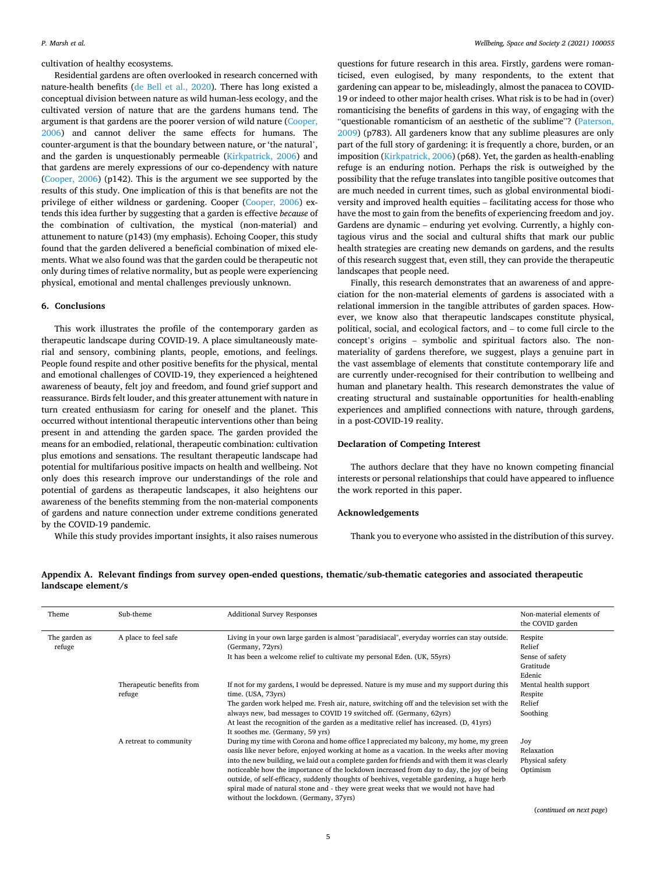<span id="page-4-0"></span>cultivation of healthy ecosystems.

Residential gardens are often overlooked in research concerned with nature-health benefits [\(de Bell et al., 2020\)](#page-6-0). There has long existed a conceptual division between nature as wild human-less ecology, and the cultivated version of nature that are the gardens humans tend. The argument is that gardens are the poorer version of wild nature [\(Cooper,](#page-5-0)  [2006\)](#page-5-0) and cannot deliver the same effects for humans. The counter-argument is that the boundary between nature, or 'the natural', and the garden is unquestionably permeable [\(Kirkpatrick, 2006](#page-5-0)) and that gardens are merely expressions of our co-dependency with nature ([Cooper, 2006\)](#page-5-0) (p142). This is the argument we see supported by the results of this study. One implication of this is that benefits are not the privilege of either wildness or gardening. Cooper [\(Cooper, 2006\)](#page-5-0) extends this idea further by suggesting that a garden is effective *because* of the combination of cultivation, the mystical (non-material) and attunement to nature (p143) (my emphasis). Echoing Cooper, this study found that the garden delivered a beneficial combination of mixed elements. What we also found was that the garden could be therapeutic not only during times of relative normality, but as people were experiencing physical, emotional and mental challenges previously unknown.

#### **6. Conclusions**

This work illustrates the profile of the contemporary garden as therapeutic landscape during COVID-19. A place simultaneously material and sensory, combining plants, people, emotions, and feelings. People found respite and other positive benefits for the physical, mental and emotional challenges of COVID-19, they experienced a heightened awareness of beauty, felt joy and freedom, and found grief support and reassurance. Birds felt louder, and this greater attunement with nature in turn created enthusiasm for caring for oneself and the planet. This occurred without intentional therapeutic interventions other than being present in and attending the garden space. The garden provided the means for an embodied, relational, therapeutic combination: cultivation plus emotions and sensations. The resultant therapeutic landscape had potential for multifarious positive impacts on health and wellbeing. Not only does this research improve our understandings of the role and potential of gardens as therapeutic landscapes, it also heightens our awareness of the benefits stemming from the non-material components of gardens and nature connection under extreme conditions generated by the COVID-19 pandemic.

While this study provides important insights, it also raises numerous

questions for future research in this area. Firstly, gardens were romanticised, even eulogised, by many respondents, to the extent that gardening can appear to be, misleadingly, almost the panacea to COVID-19 or indeed to other major health crises. What risk is to be had in (over) romanticising the benefits of gardens in this way, of engaging with the "questionable romanticism of an aesthetic of the sublime"? [\(Paterson,](#page-6-0)  [2009\)](#page-6-0) (p783). All gardeners know that any sublime pleasures are only part of the full story of gardening: it is frequently a chore, burden, or an imposition ([Kirkpatrick, 2006\)](#page-5-0) (p68). Yet, the garden as health-enabling refuge is an enduring notion. Perhaps the risk is outweighed by the possibility that the refuge translates into tangible positive outcomes that are much needed in current times, such as global environmental biodiversity and improved health equities – facilitating access for those who have the most to gain from the benefits of experiencing freedom and joy. Gardens are dynamic – enduring yet evolving. Currently, a highly contagious virus and the social and cultural shifts that mark our public health strategies are creating new demands on gardens, and the results of this research suggest that, even still, they can provide the therapeutic landscapes that people need.

Finally, this research demonstrates that an awareness of and appreciation for the non-material elements of gardens is associated with a relational immersion in the tangible attributes of garden spaces. However, we know also that therapeutic landscapes constitute physical, political, social, and ecological factors, and – to come full circle to the concept's origins – symbolic and spiritual factors also. The nonmateriality of gardens therefore, we suggest, plays a genuine part in the vast assemblage of elements that constitute contemporary life and are currently under-recognised for their contribution to wellbeing and human and planetary health. This research demonstrates the value of creating structural and sustainable opportunities for health-enabling experiences and amplified connections with nature, through gardens, in a post-COVID-19 reality.

## **Declaration of Competing Interest**

The authors declare that they have no known competing financial interests or personal relationships that could have appeared to influence the work reported in this paper.

## **Acknowledgements**

Thank you to everyone who assisted in the distribution of this survey.

|                     |  |  |  | Appendix A. Relevant findings from survey open-ended questions, thematic/sub-thematic categories and associated therapeutic |  |
|---------------------|--|--|--|-----------------------------------------------------------------------------------------------------------------------------|--|
| landscape element/s |  |  |  |                                                                                                                             |  |

| Theme                   | Sub-theme                           | <b>Additional Survey Responses</b>                                                                                                                                                                                                                                                                                                                                                                                                                                                                                                                                                                               | Non-material elements of<br>the COVID garden                |
|-------------------------|-------------------------------------|------------------------------------------------------------------------------------------------------------------------------------------------------------------------------------------------------------------------------------------------------------------------------------------------------------------------------------------------------------------------------------------------------------------------------------------------------------------------------------------------------------------------------------------------------------------------------------------------------------------|-------------------------------------------------------------|
| The garden as<br>refuge | A place to feel safe                | Living in your own large garden is almost "paradisiacal", everyday worries can stay outside.<br>(Germany, 72yrs)<br>It has been a welcome relief to cultivate my personal Eden. (UK, 55yrs)                                                                                                                                                                                                                                                                                                                                                                                                                      | Respite<br>Relief<br>Sense of safety<br>Gratitude<br>Edenic |
|                         | Therapeutic benefits from<br>refuge | If not for my gardens, I would be depressed. Nature is my muse and my support during this<br>time. (USA, 73yrs)<br>The garden work helped me. Fresh air, nature, switching off and the television set with the<br>always new, bad messages to COVID 19 switched off. (Germany, 62yrs)<br>At least the recognition of the garden as a meditative relief has increased. (D, 41yrs)<br>It soothes me. (Germany, 59 yrs)                                                                                                                                                                                             | Mental health support<br>Respite<br>Relief<br>Soothing      |
|                         | A retreat to community              | During my time with Corona and home office I appreciated my balcony, my home, my green<br>oasis like never before, enjoyed working at home as a vacation. In the weeks after moving<br>into the new building, we laid out a complete garden for friends and with them it was clearly<br>noticeable how the importance of the lockdown increased from day to day, the joy of being<br>outside, of self-efficacy, suddenly thoughts of beehives, vegetable gardening, a huge herb<br>spiral made of natural stone and - they were great weeks that we would not have had<br>without the lockdown. (Germany, 37yrs) | Joy<br>Relaxation<br>Physical safety<br>Optimism            |

(*continued on next page*)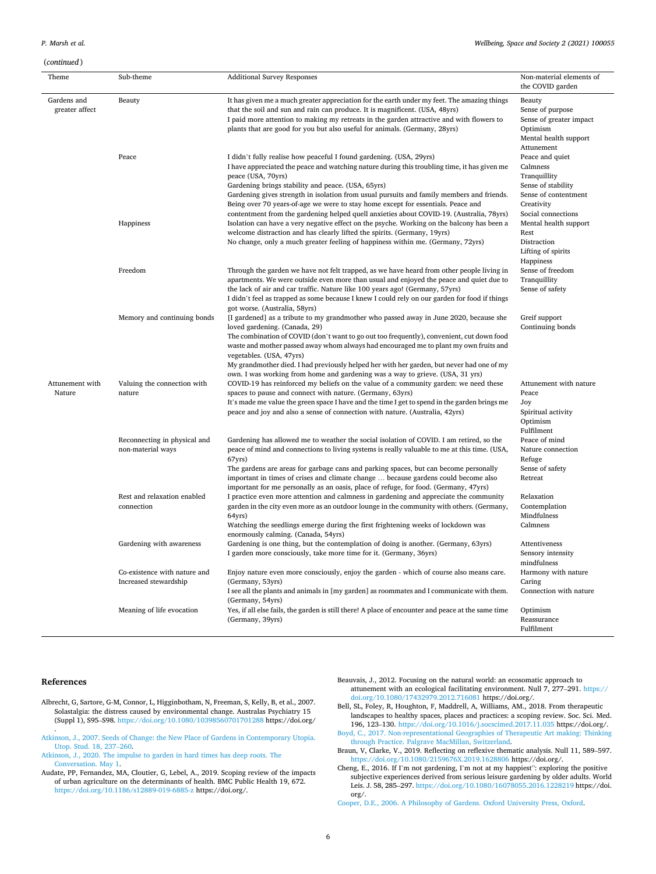# <span id="page-5-0"></span>(*continued* )

| Theme                         | Sub-theme                                             | <b>Additional Survey Responses</b>                                                                                                                                                                                                                                                                                                                                                                                                                                                                                     | Non-material elements of<br>the COVID garden                                                             |  |
|-------------------------------|-------------------------------------------------------|------------------------------------------------------------------------------------------------------------------------------------------------------------------------------------------------------------------------------------------------------------------------------------------------------------------------------------------------------------------------------------------------------------------------------------------------------------------------------------------------------------------------|----------------------------------------------------------------------------------------------------------|--|
| Gardens and<br>greater affect | Beauty                                                | It has given me a much greater appreciation for the earth under my feet. The amazing things<br>that the soil and sun and rain can produce. It is magnificent. (USA, 48yrs)<br>I paid more attention to making my retreats in the garden attractive and with flowers to<br>plants that are good for you but also useful for animals. (Germany, 28yrs)                                                                                                                                                                   | Beauty<br>Sense of purpose<br>Sense of greater impact<br>Optimism<br>Mental health support<br>Attunement |  |
|                               | Peace                                                 | I didn't fully realise how peaceful I found gardening. (USA, 29yrs)<br>I have appreciated the peace and watching nature during this troubling time, it has given me<br>peace (USA, 70yrs)<br>Gardening brings stability and peace. (USA, 65yrs)<br>Gardening gives strength in isolation from usual pursuits and family members and friends.<br>Being over 70 years-of-age we were to stay home except for essentials. Peace and                                                                                       | Peace and quiet<br>Calmness<br>Tranquillity<br>Sense of stability<br>Sense of contentment<br>Creativity  |  |
|                               | Happiness                                             | contentment from the gardening helped quell anxieties about COVID-19. (Australia, 78yrs)<br>Isolation can have a very negative effect on the psyche. Working on the balcony has been a<br>welcome distraction and has clearly lifted the spirits. (Germany, 19yrs)<br>No change, only a much greater feeling of happiness within me. (Germany, 72yrs)                                                                                                                                                                  | Social connections<br>Mental health support<br>Rest<br>Distraction<br>Lifting of spirits<br>Happiness    |  |
|                               | Freedom                                               | Through the garden we have not felt trapped, as we have heard from other people living in<br>apartments. We were outside even more than usual and enjoyed the peace and quiet due to<br>the lack of air and car traffic. Nature like 100 years ago! (Germany, 57yrs)<br>I didn't feel as trapped as some because I knew I could rely on our garden for food if things<br>got worse. (Australia, 58yrs)                                                                                                                 | Sense of freedom<br>Tranquillity<br>Sense of safety                                                      |  |
|                               | Memory and continuing bonds                           | [I gardened] as a tribute to my grandmother who passed away in June 2020, because she<br>loved gardening. (Canada, 29)<br>The combination of COVID (don't want to go out too frequently), convenient, cut down food<br>waste and mother passed away whom always had encouraged me to plant my own fruits and<br>vegetables. (USA, 47yrs)<br>My grandmother died. I had previously helped her with her garden, but never had one of my<br>own. I was working from home and gardening was a way to grieve. (USA, 31 yrs) | Greif support<br>Continuing bonds                                                                        |  |
| Attunement with<br>Nature     | Valuing the connection with<br>nature                 | COVID-19 has reinforced my beliefs on the value of a community garden: we need these<br>spaces to pause and connect with nature. (Germany, 63yrs)<br>It's made me value the green space I have and the time I get to spend in the garden brings me<br>peace and joy and also a sense of connection with nature. (Australia, 42yrs)                                                                                                                                                                                     | Attunement with nature<br>Peace<br>Joy<br>Spiritual activity<br>Optimism<br>Fulfilment                   |  |
|                               | Reconnecting in physical and<br>non-material ways     | Gardening has allowed me to weather the social isolation of COVID. I am retired, so the<br>peace of mind and connections to living systems is really valuable to me at this time. (USA,<br>67yrs)<br>The gardens are areas for garbage cans and parking spaces, but can become personally<br>important in times of crises and climate change  because gardens could become also<br>important for me personally as an oasis, place of refuge, for food. (Germany, 47yrs)                                                | Peace of mind<br>Nature connection<br>Refuge<br>Sense of safety<br>Retreat                               |  |
|                               | Rest and relaxation enabled<br>connection             | I practice even more attention and calmness in gardening and appreciate the community<br>garden in the city even more as an outdoor lounge in the community with others. (Germany,<br>64yrs)<br>Watching the seedlings emerge during the first frightening weeks of lockdown was<br>enormously calming. (Canada, 54yrs)                                                                                                                                                                                                | Relaxation<br>Contemplation<br>Mindfulness<br>Calmness                                                   |  |
|                               | Gardening with awareness                              | Gardening is one thing, but the contemplation of doing is another. (Germany, 63yrs)<br>I garden more consciously, take more time for it. (Germany, 36yrs)                                                                                                                                                                                                                                                                                                                                                              | Attentiveness<br>Sensory intensity<br>mindfulness                                                        |  |
|                               | Co-existence with nature and<br>Increased stewardship | Enjoy nature even more consciously, enjoy the garden - which of course also means care.<br>(Germany, 53yrs)<br>I see all the plants and animals in [my garden] as roommates and I communicate with them.                                                                                                                                                                                                                                                                                                               | Harmony with nature<br>Caring<br>Connection with nature                                                  |  |
|                               | Meaning of life evocation                             | (Germany, 54yrs)<br>Yes, if all else fails, the garden is still there! A place of encounter and peace at the same time<br>(Germany, 39yrs)                                                                                                                                                                                                                                                                                                                                                                             | Optimism<br>Reassurance<br>Fulfilment                                                                    |  |

## **References**

- Albrecht, G, Sartore, G-M, Connor, L, Higginbotham, N, Freeman, S, Kelly, B, et al., 2007. Solastalgia: the distress caused by environmental change. Australas Psychiatry 15 (Suppl 1), S95–S98. <https://doi.org/10.1080/10398560701701288>https://doi.org/
- . [Atkinson, J., 2007. Seeds of Change: the New Place of Gardens in Contemporary Utopia.](http://refhub.elsevier.com/S2666-5581(21)00028-2/sbref0002)  [Utop. Stud. 18, 237](http://refhub.elsevier.com/S2666-5581(21)00028-2/sbref0002)–260.
- [Atkinson, J., 2020. The impulse to garden in hard times has deep roots. The](http://refhub.elsevier.com/S2666-5581(21)00028-2/sbref0003)  [Conversation. May 1](http://refhub.elsevier.com/S2666-5581(21)00028-2/sbref0003).
- Audate, PP, Fernandez, MA, Cloutier, G, Lebel, A., 2019. Scoping review of the impacts of urban agriculture on the determinants of health. BMC Public Health 19, 672. <https://doi.org/10.1186/s12889-019-6885-z> https://doi.org/.
- Beauvais, J., 2012. Focusing on the natural world: an ecosomatic approach to attunement with an ecological facilitating environment. Null 7, 277–291. [https://](https://doi.org/10.1080/17432979.2012.716081)
- [doi.org/10.1080/17432979.2012.716081](https://doi.org/10.1080/17432979.2012.716081) https://doi.org/. Bell, SL, Foley, R, Houghton, F, Maddrell, A, Williams, AM., 2018. From therapeutic landscapes to healthy spaces, places and practices: a scoping review. Soc. Sci. Med. 196, 123–130. <https://doi.org/10.1016/j.socscimed.2017.11.035>https://doi.org/. [Boyd, C., 2017. Non-representational Geographies of Therapeutic Art making: Thinking](http://refhub.elsevier.com/S2666-5581(21)00028-2/sbref0007)
- [through Practice. Palgrave MacMillan, Switzerland](http://refhub.elsevier.com/S2666-5581(21)00028-2/sbref0007).
- Braun, V, Clarke, V., 2019. Reflecting on reflexive thematic analysis. Null 11, 589–597. <https://doi.org/10.1080/2159676X.2019.1628806>https://doi.org/.
- Cheng, E., 2016. If I'm not gardening, I'm not at my happiest": exploring the positive subjective experiences derived from serious leisure gardening by older adults. World Leis. J. 58, 285–297.<https://doi.org/10.1080/16078055.2016.1228219> https://doi. org/.

[Cooper, D.E., 2006. A Philosophy of Gardens. Oxford University Press, Oxford.](http://refhub.elsevier.com/S2666-5581(21)00028-2/sbref0010)